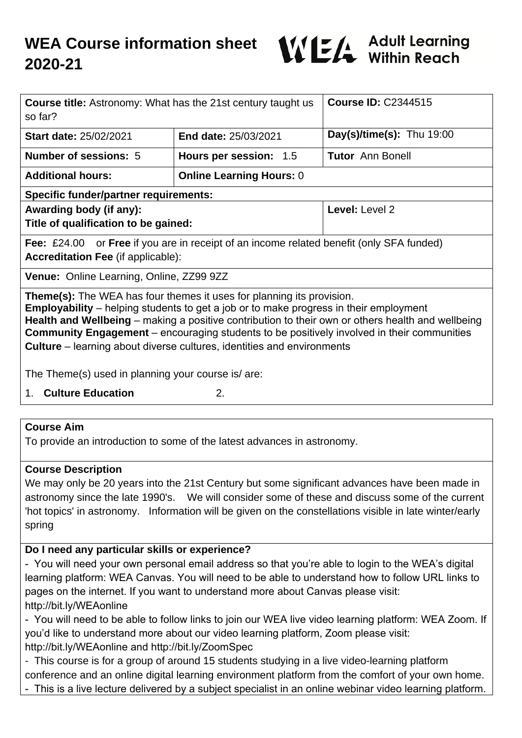

| <b>Course title:</b> Astronomy: What has the 21st century taught us<br>so far?                                                                                                                                                                                                                                                                                                                                                                                          |                                 | <b>Course ID: C2344515</b>  |  |  |
|-------------------------------------------------------------------------------------------------------------------------------------------------------------------------------------------------------------------------------------------------------------------------------------------------------------------------------------------------------------------------------------------------------------------------------------------------------------------------|---------------------------------|-----------------------------|--|--|
| <b>Start date: 25/02/2021</b>                                                                                                                                                                                                                                                                                                                                                                                                                                           | End date: 25/03/2021            | Day(s)/time(s): Thu $19:00$ |  |  |
| <b>Number of sessions: 5</b>                                                                                                                                                                                                                                                                                                                                                                                                                                            | Hours per session: 1.5          | <b>Tutor</b> Ann Bonell     |  |  |
| <b>Additional hours:</b>                                                                                                                                                                                                                                                                                                                                                                                                                                                | <b>Online Learning Hours: 0</b> |                             |  |  |
| <b>Specific funder/partner requirements:</b>                                                                                                                                                                                                                                                                                                                                                                                                                            |                                 |                             |  |  |
| Awarding body (if any):                                                                                                                                                                                                                                                                                                                                                                                                                                                 |                                 | Level: Level 2              |  |  |
| Title of qualification to be gained:                                                                                                                                                                                                                                                                                                                                                                                                                                    |                                 |                             |  |  |
| <b>Fee:</b> £24.00 or <b>Free</b> if you are in receipt of an income related benefit (only SFA funded)                                                                                                                                                                                                                                                                                                                                                                  |                                 |                             |  |  |
| <b>Accreditation Fee (if applicable):</b>                                                                                                                                                                                                                                                                                                                                                                                                                               |                                 |                             |  |  |
| Venue: Online Learning, Online, ZZ99 9ZZ                                                                                                                                                                                                                                                                                                                                                                                                                                |                                 |                             |  |  |
| <b>Theme(s):</b> The WEA has four themes it uses for planning its provision.<br><b>Employability</b> – helping students to get a job or to make progress in their employment<br>Health and Wellbeing – making a positive contribution to their own or others health and wellbeing<br><b>Community Engagement</b> – encouraging students to be positively involved in their communities<br><b>Culture</b> – learning about diverse cultures, identities and environments |                                 |                             |  |  |
| The Theme(s) used in planning your course is/are:                                                                                                                                                                                                                                                                                                                                                                                                                       |                                 |                             |  |  |
|                                                                                                                                                                                                                                                                                                                                                                                                                                                                         |                                 |                             |  |  |

1. **Culture Education** 2.

#### **Course Aim**

To provide an introduction to some of the latest advances in astronomy.

#### **Course Description**

We may only be 20 years into the 21st Century but some significant advances have been made in astronomy since the late 1990's. We will consider some of these and discuss some of the current 'hot topics' in astronomy. Information will be given on the constellations visible in late winter/early spring

## **Do I need any particular skills or experience?**

- You will need your own personal email address so that you're able to login to the WEA's digital learning platform: WEA Canvas. You will need to be able to understand how to follow URL links to pages on the internet. If you want to understand more about Canvas please visit: http://bit.ly/WEAonline

- You will need to be able to follow links to join our WEA live video learning platform: WEA Zoom. If you'd like to understand more about our video learning platform, Zoom please visit: http://bit.ly/WEAonline and http://bit.ly/ZoomSpec

- This course is for a group of around 15 students studying in a live video-learning platform

conference and an online digital learning environment platform from the comfort of your own home.

- This is a live lecture delivered by a subject specialist in an online webinar video learning platform.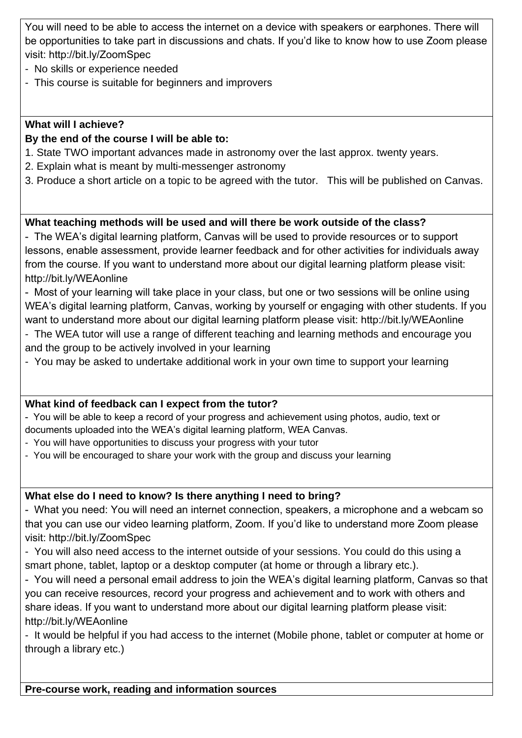You will need to be able to access the internet on a device with speakers or earphones. There will be opportunities to take part in discussions and chats. If you'd like to know how to use Zoom please visit: http://bit.ly/ZoomSpec

- No skills or experience needed
- This course is suitable for beginners and improvers

#### **What will I achieve?**

#### **By the end of the course I will be able to:**

- 1. State TWO important advances made in astronomy over the last approx. twenty years.
- 2. Explain what is meant by multi-messenger astronomy
- 3. Produce a short article on a topic to be agreed with the tutor. This will be published on Canvas.

# **What teaching methods will be used and will there be work outside of the class?**

- The WEA's digital learning platform, Canvas will be used to provide resources or to support lessons, enable assessment, provide learner feedback and for other activities for individuals away from the course. If you want to understand more about our digital learning platform please visit: http://bit.ly/WEAonline

- Most of your learning will take place in your class, but one or two sessions will be online using WEA's digital learning platform, Canvas, working by yourself or engaging with other students. If you want to understand more about our digital learning platform please visit: http://bit.ly/WEAonline

- The WEA tutor will use a range of different teaching and learning methods and encourage you and the group to be actively involved in your learning
- You may be asked to undertake additional work in your own time to support your learning

## **What kind of feedback can I expect from the tutor?**

- You will be able to keep a record of your progress and achievement using photos, audio, text or documents uploaded into the WEA's digital learning platform, WEA Canvas.

- You will have opportunities to discuss your progress with your tutor
- You will be encouraged to share your work with the group and discuss your learning

## **What else do I need to know? Is there anything I need to bring?**

- What you need: You will need an internet connection, speakers, a microphone and a webcam so that you can use our video learning platform, Zoom. If you'd like to understand more Zoom please visit: http://bit.ly/ZoomSpec

- You will also need access to the internet outside of your sessions. You could do this using a smart phone, tablet, laptop or a desktop computer (at home or through a library etc.).

- You will need a personal email address to join the WEA's digital learning platform, Canvas so that you can receive resources, record your progress and achievement and to work with others and share ideas. If you want to understand more about our digital learning platform please visit: http://bit.ly/WEAonline

- It would be helpful if you had access to the internet (Mobile phone, tablet or computer at home or through a library etc.)